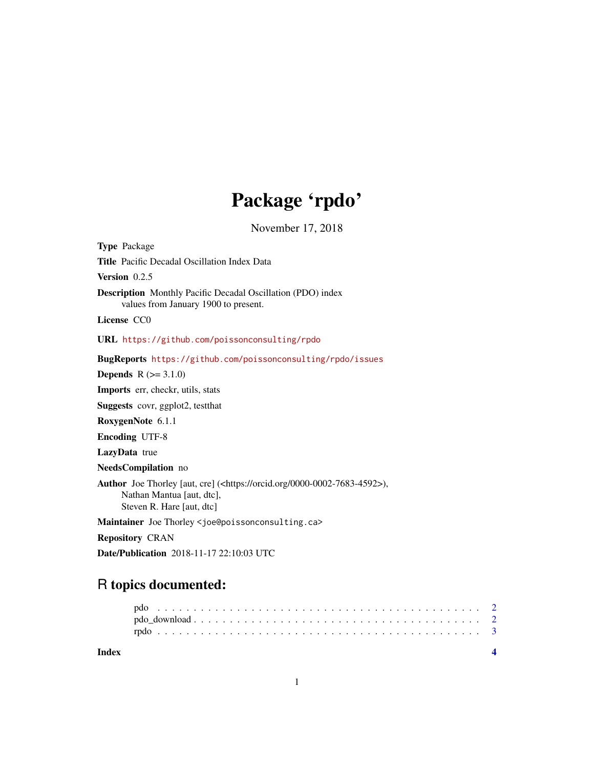## Package 'rpdo'

November 17, 2018

Type Package Title Pacific Decadal Oscillation Index Data Version 0.2.5 Description Monthly Pacific Decadal Oscillation (PDO) index values from January 1900 to present. License CC0 URL <https://github.com/poissonconsulting/rpdo> BugReports <https://github.com/poissonconsulting/rpdo/issues> **Depends**  $R (= 3.1.0)$ Imports err, checkr, utils, stats Suggests covr, ggplot2, testthat RoxygenNote 6.1.1 Encoding UTF-8 LazyData true NeedsCompilation no Author Joe Thorley [aut, cre] (<https://orcid.org/0000-0002-7683-4592>), Nathan Mantua [aut, dtc], Steven R. Hare [aut, dtc] Maintainer Joe Thorley <joe@poissonconsulting.ca> Repository CRAN

Date/Publication 2018-11-17 22:10:03 UTC

### R topics documented:

**Index** [4](#page-3-0)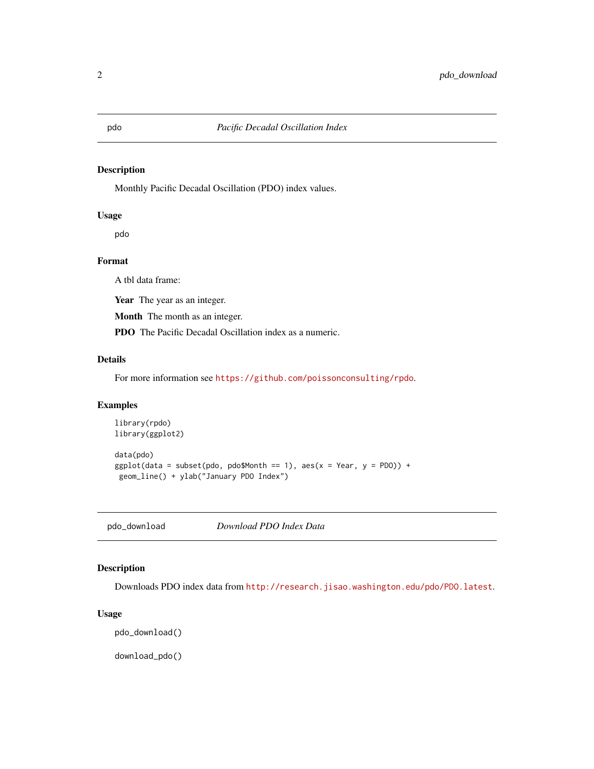### <span id="page-1-1"></span><span id="page-1-0"></span>Description

Monthly Pacific Decadal Oscillation (PDO) index values.

### Usage

pdo

### Format

A tbl data frame:

Year The year as an integer.

Month The month as an integer.

PDO The Pacific Decadal Oscillation index as a numeric.

### Details

For more information see <https://github.com/poissonconsulting/rpdo>.

### Examples

```
library(rpdo)
library(ggplot2)
data(pdo)
ggplot(data = subset(pdo, pdo$Month == 1), aes(x = Year, y = PDO)) +geom_line() + ylab("January PDO Index")
```
<span id="page-1-2"></span>pdo\_download *Download PDO Index Data*

### Description

Downloads PDO index data from <http://research.jisao.washington.edu/pdo/PDO.latest>.

### Usage

pdo\_download()

download\_pdo()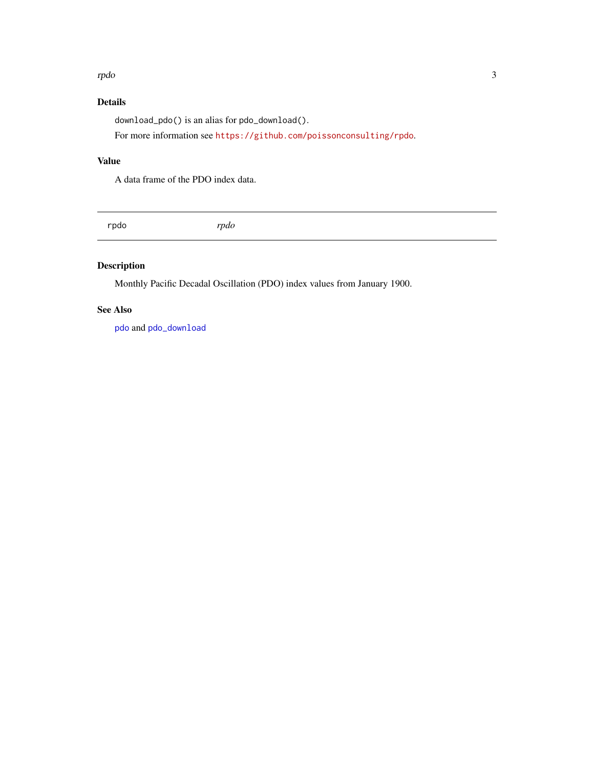### <span id="page-2-0"></span>rpdo 3000 a.C. et al. (2000) and 2000 and 2000 and 2000 and 2000 and 2000 and 2000 and 2000 and 2000 and 2000

### Details

download\_pdo() is an alias for pdo\_download().

For more information see <https://github.com/poissonconsulting/rpdo>.

### Value

A data frame of the PDO index data.

rpdo *rpdo*

### Description

Monthly Pacific Decadal Oscillation (PDO) index values from January 1900.

### See Also

[pdo](#page-1-1) and [pdo\\_download](#page-1-2)